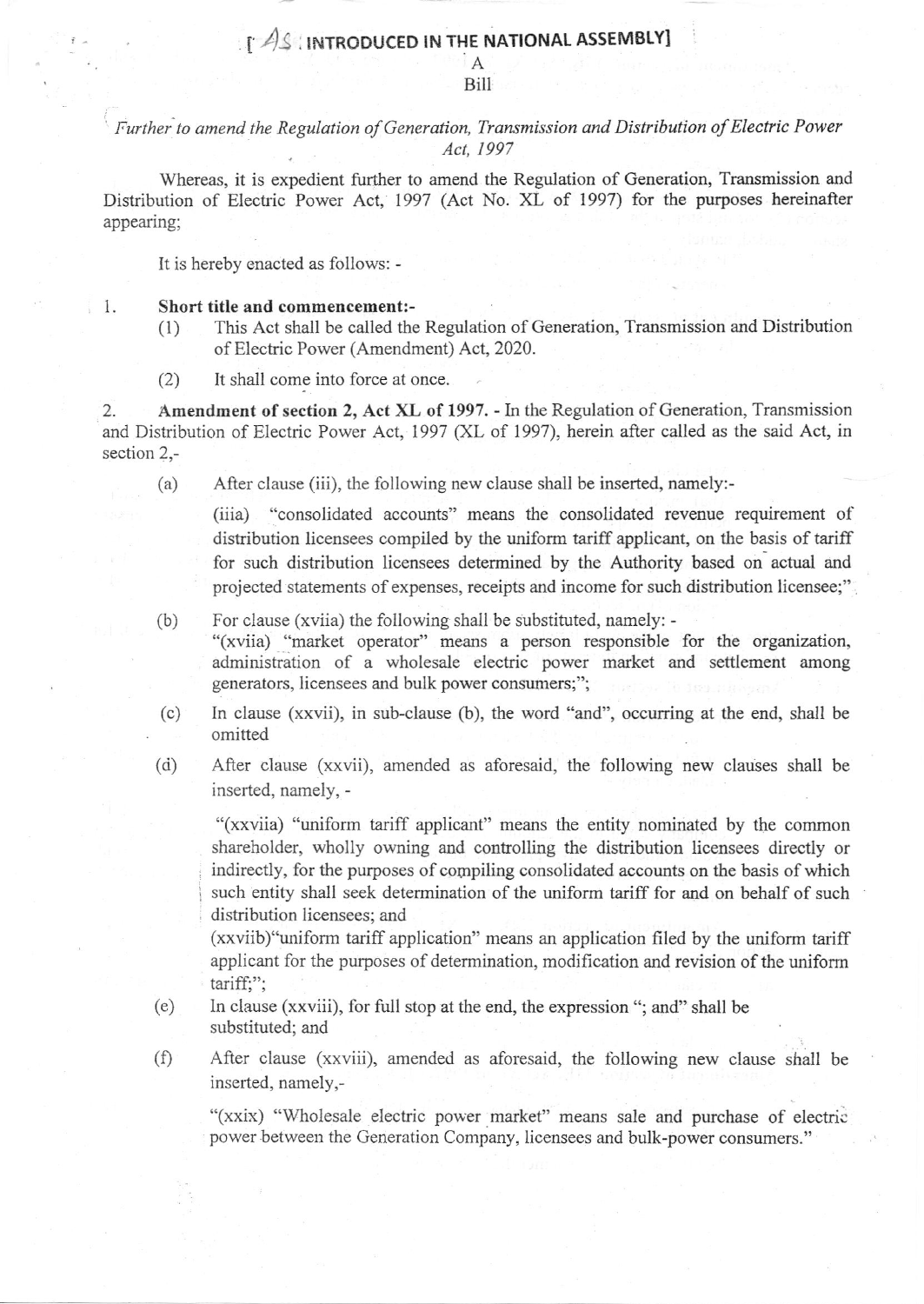## $\int A \mathcal{S}$  introduced in the NATIONAL ASSEMBLY]

#### A **Bill**

Further to amend the Regulation of Generation, Transmission and Distribution of Electric Power Act, 1997

Whereas, it is expedient further to amend the Regulation of Generation, Transmission and Distribution of Electric Power Act, 1997 (Act No. XL of 1997) for the purposes hereinafter appearing;

It is herebv enacted as follows: -

- 1. Short title and commencement:-<br>(1) This Act shall be called the Regulation of Generation, Transmission and Distribution of Electric Power (Amendment) Act,2020.
	- (2) It shall come into force at once.

2. Amendment of section 2, Act XL of 1997. - In the Regulation of Generation, Transmission and Distribution of Electric Power Act, 1997 (XL of 1997), herein after called as the said Act, in section 2,-

(a) After clause (iii), the following new clause shall be inserted, namely:-

(iiia) "consolidated accounts" means the consolidated revenue requirement of distribution licensees compiled by the uniforrn tariff applicant, on the basis of tariff for such distribution licensees determined by the Authority based on actual and projected statements of expenses, receipts and income for such distribution licensee;"

(b) For clause (xviia) the following shall be substituted, namely: -

"(xviia) "market operator" means a person responsible for the organization, administration of a wholesale electric power market and settlement among generators, licensees and bulk power consumers;";

- (c) In clause (xxvii), in sub-clause (b), the word "and", occurring at the end, shall be . omitted
- (d) After clause (xxvii), amended as aforesaid, the following new clauses shall be inserted, namely, -

"(xxviia) "uniform tariff applicant" means the entity nominated by the common shareholder, wholly owning and controlling the distribution licensees directly or indirectly, for the purposes of compiling consolidated accounts on the basis of which such entity shall seek determination of the uniform tariff for and on behalf of such distribution licensees; and

(xxviib)"uniform tariff application" means an application frled by the uniform tariff applicant for the purposes of determination, modification and revision of the uniform tariff;";

- (e) In clause (xxviii), for full stop at the end, the expression "; and" shall be substituted; and
- (f) After clause (xxviii), amended as aforesaid, the following new clause shall be inserted, namely,-

"(xxix) "Wholesale electric power market" means sale and purchase of electric power between the Generation Company, licensees and bulk-power consumers."